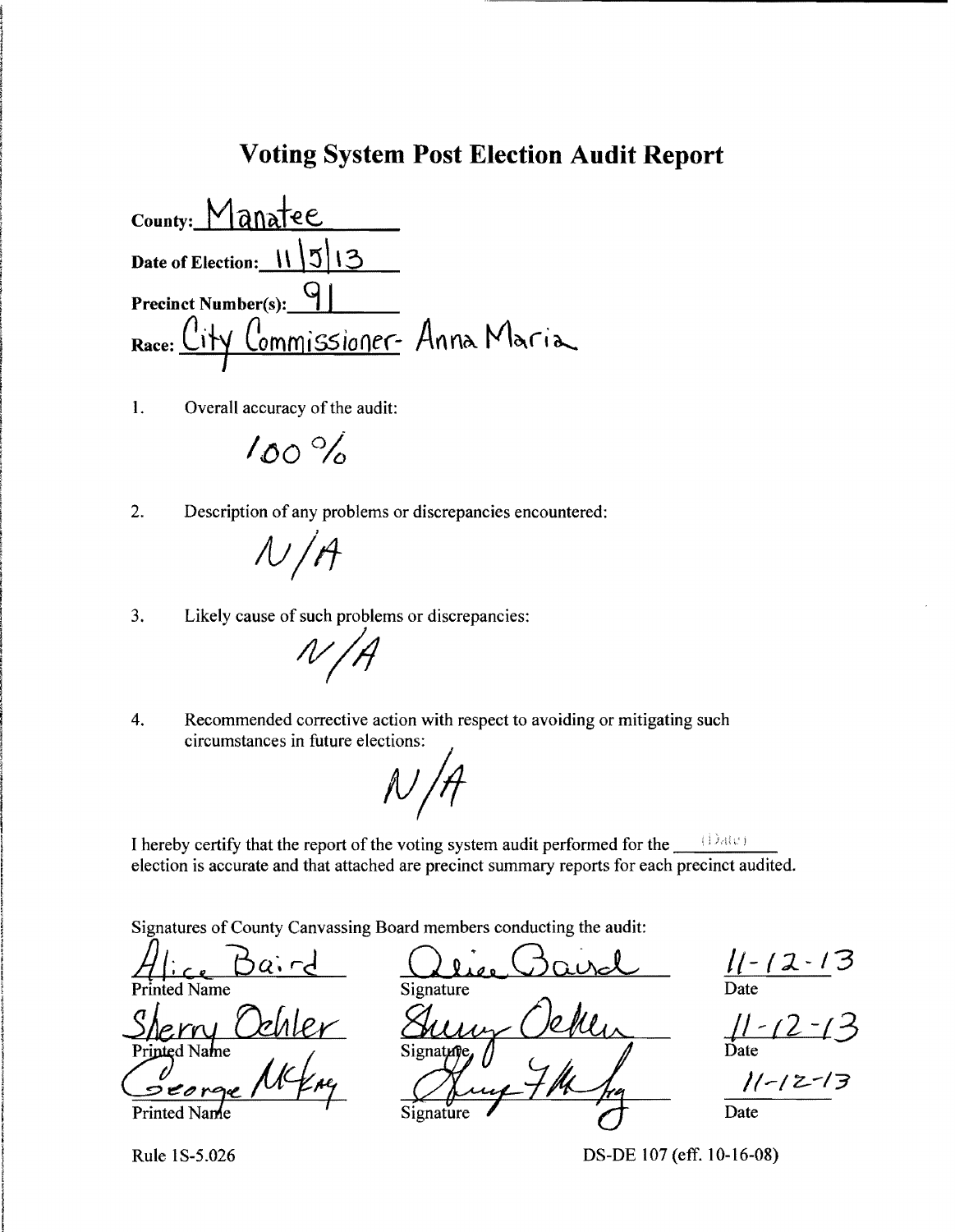#### **Voting System Post Election Audit Report**

County: Manatee Date of Election: 11 | 5 | 13 Precinct Number(s): <u>y Commissioner</u> Anna Maria Race: \

 $\mathbf{1}$ . Overall accuracy of the audit:

 $100%$ 

 $2.$ Description of any problems or discrepancies encountered:

 $N/A$ 

Likely cause of such problems or discrepancies: 3.

 $N$ 

 $\overline{4}$ . Recommended corrective action with respect to avoiding or mitigating such circumstances in future elections:

I hereby certify that the report of the voting system audit performed for the  $\Box$  (Date) election is accurate and that attached are precinct summary reports for each precinct audited.

Signatures of County Canvassing Board members conducting the audit:

ted Name Printed Name Signatur

Signature Vekles

 $\frac{11 - 12 - 13}{\text{Date}}$ 

 $\frac{11-(2-1)}{20}$ <br>Date

Rule 1S-5.026

DS-DE 107 (eff. 10-16-08)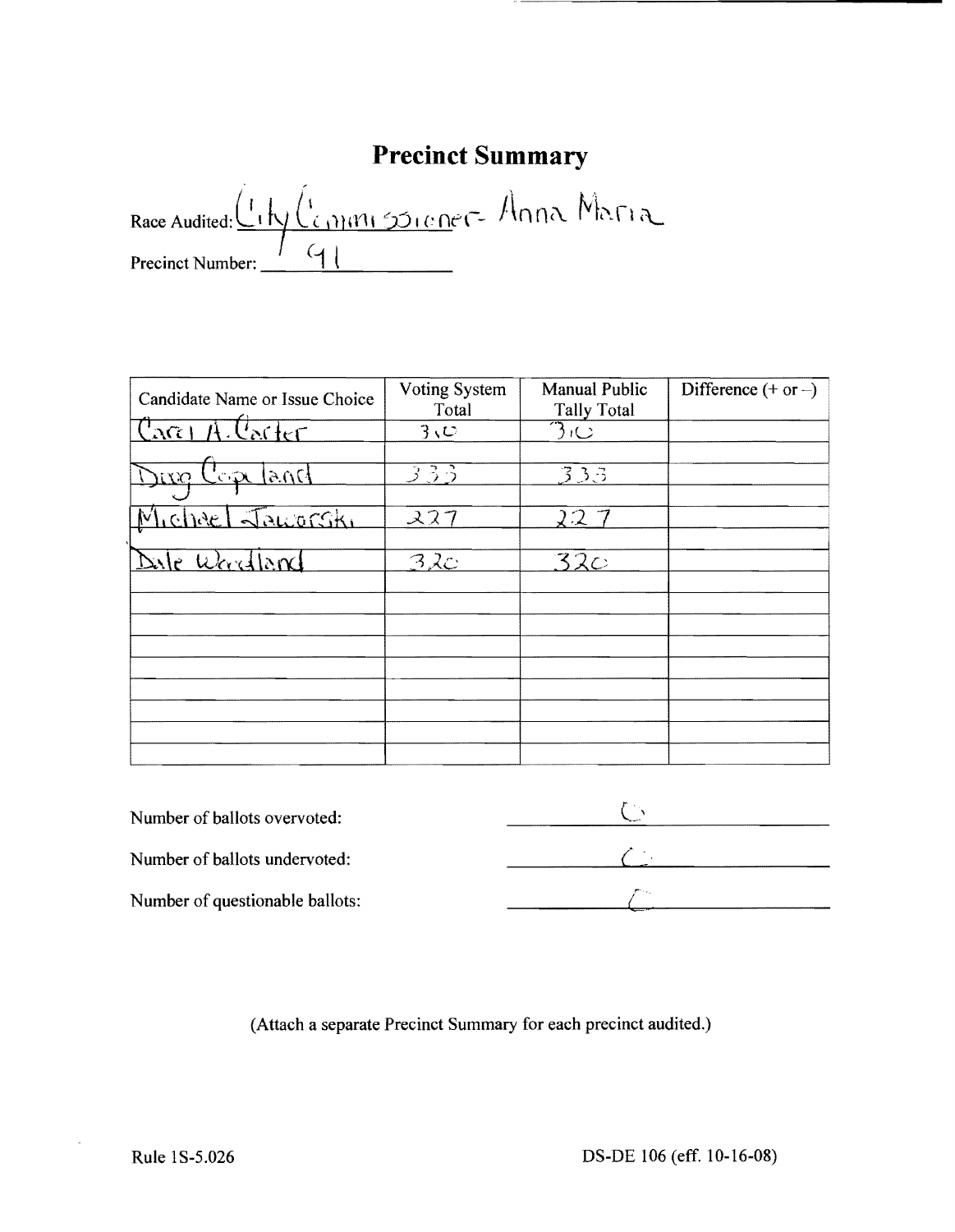### **Precinct Summary**

Race Audited: LINGCommissioner Anna Maria  $\overline{9}$ Precinct Number:

| Candidate Name or Issue Choice | Voting System<br>Total | <b>Manual Public</b><br><b>Tally Total</b> | Difference $(+ or -)$ |
|--------------------------------|------------------------|--------------------------------------------|-----------------------|
| <u> Carel A Carter</u>         | $3\vee$                | $\Im \psi$                                 |                       |
| $5ns$ and<br>Divo              | 333                    | 333                                        |                       |
| Tchref Jaworski                | 227                    | 22                                         |                       |
|                                |                        |                                            |                       |
| Dale Woodland                  | 32c                    | 32c                                        |                       |
|                                |                        |                                            |                       |
|                                |                        |                                            |                       |
|                                |                        |                                            |                       |
|                                |                        |                                            |                       |
|                                |                        |                                            |                       |
|                                |                        |                                            |                       |

| Number of ballots overvoted:    |  |
|---------------------------------|--|
| Number of ballots undervoted:   |  |
| Number of questionable ballots: |  |

(Attach a separate Precinct Summary for each precinct audited.)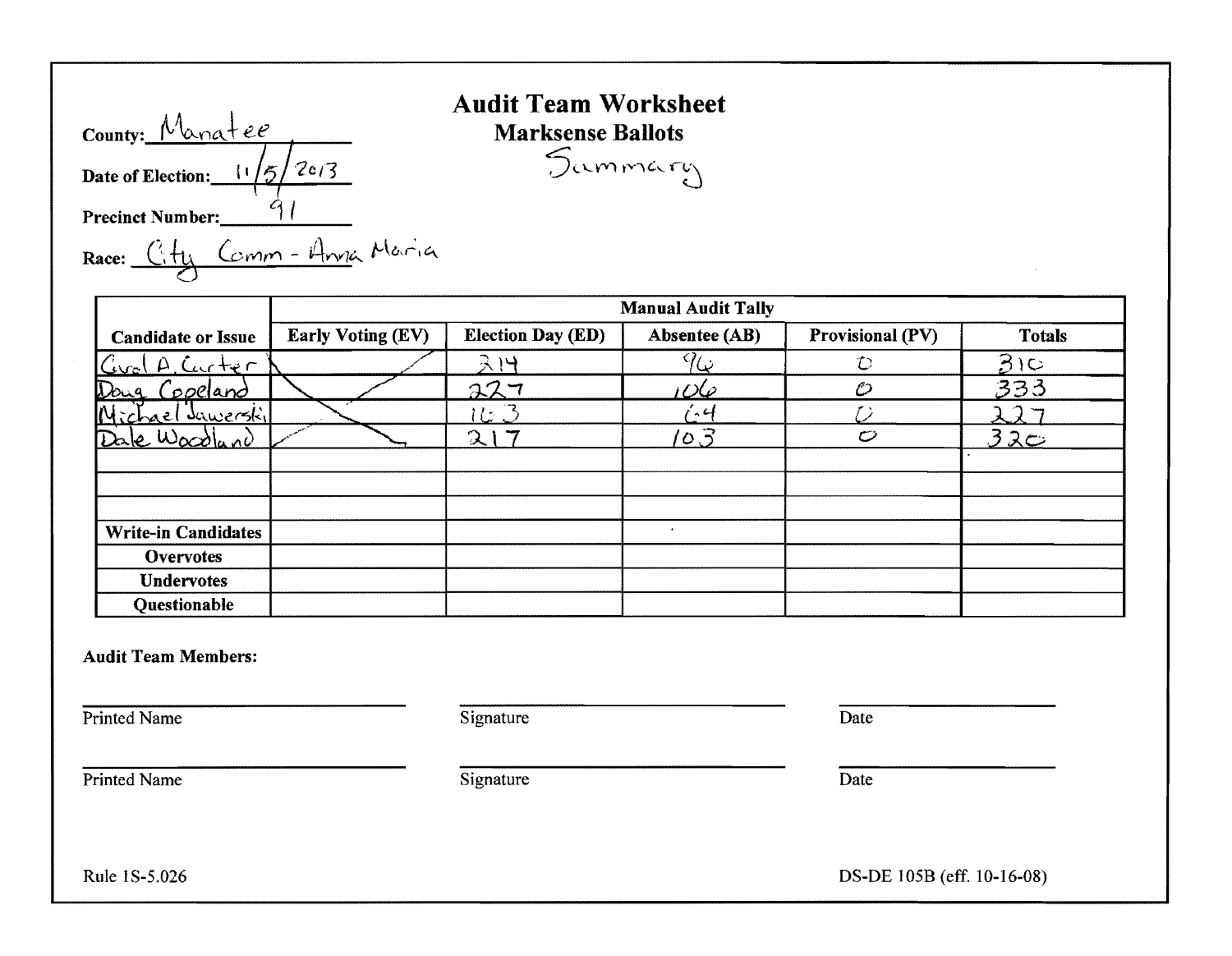| County: Manatee                       |
|---------------------------------------|
| Date of Election: $\frac{11}{5}$ 2c/3 |
| <b>Precinct Number:</b>               |
| Race: City Comm - Anna Maria          |

## Audit Team Worksheet  $Mark sense$  Ballots Sammary

|                            |                          |                               | <b>Manual Audit Tally</b> |                  |               |
|----------------------------|--------------------------|-------------------------------|---------------------------|------------------|---------------|
| <b>Candidate or Issue</b>  | <b>Early Voting (EV)</b> | <b>Election Day (ED)</b>      | Absentee (AB)             | Provisional (PV) | <b>Totals</b> |
| Grol A. Curter             |                          | ストー                           | $9\overline{6}$           | D                | $3$ 10        |
| Doug Copeland              |                          | 227                           | <u>106</u>                | O                | 333           |
| Michael Jawerskil          |                          | $\lfloor \frac{1}{2} \rfloor$ | $-4$                      |                  |               |
| Dale Woodland              |                          | 21                            | 103                       | $\circ$          | 320           |
|                            |                          |                               |                           |                  |               |
|                            |                          |                               |                           |                  |               |
|                            |                          |                               |                           |                  |               |
| <b>Write-in Candidates</b> |                          |                               |                           |                  |               |
| <b>Overvotes</b>           |                          |                               |                           |                  |               |
| Undervotes                 |                          |                               |                           |                  |               |
| Questionable               |                          |                               |                           |                  |               |

Audit Team Members:

Printed Name Date Signature Date Date

Printed Name Date

Rule 1 S-5.026 DS-DE 105B (eff. 10-16-08)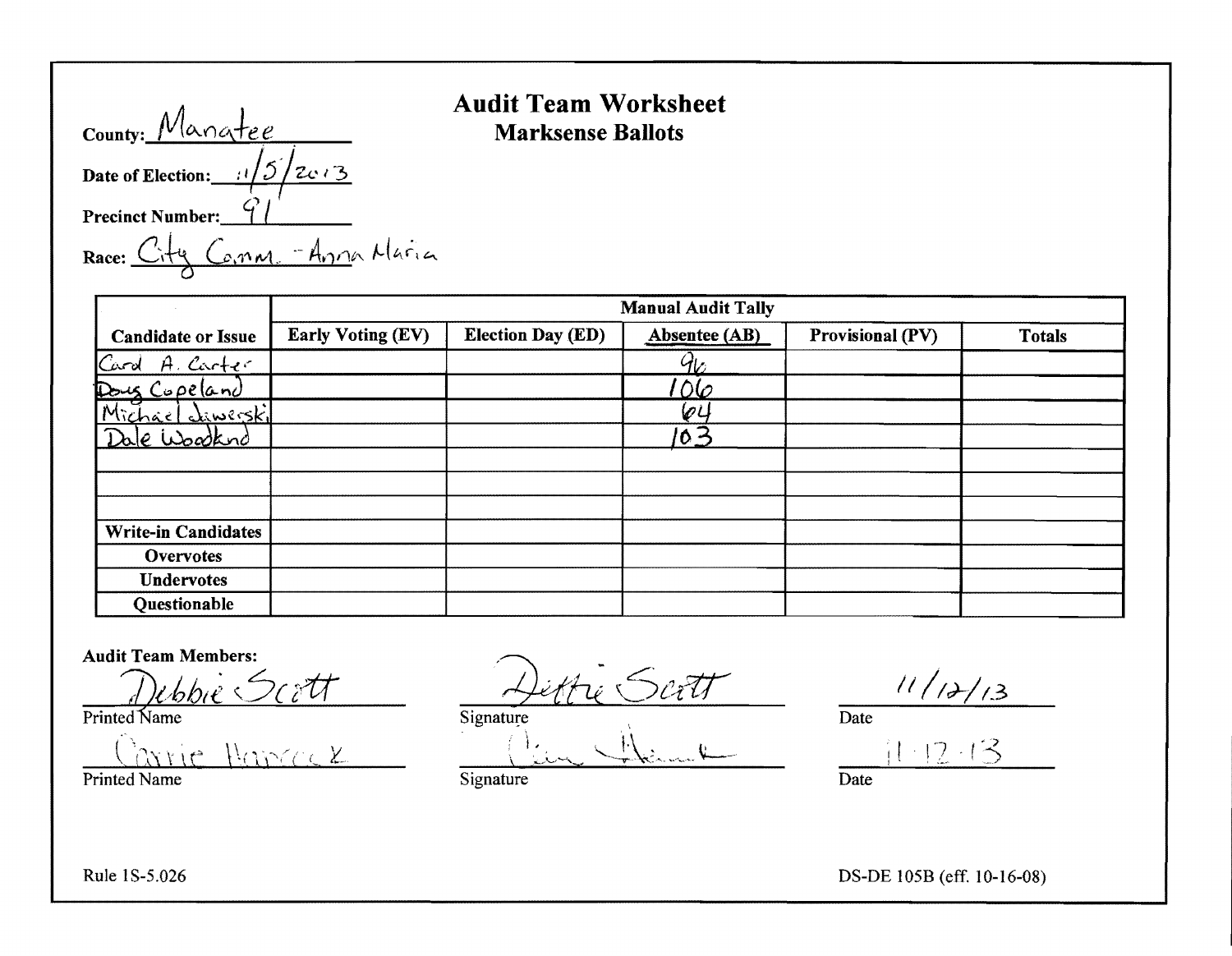| County: Manatee                                      |
|------------------------------------------------------|
| Date of Election: $\frac{1}{\sqrt{5}}$ 2c $\sqrt{3}$ |
| <b>Precinct Number:</b>                              |
| Race: City Comm. - Anna Maria                        |

#### Audit Team Worksheet Marksense Ballots

|                            |                          |                          | <b>Manual Audit Tally</b> |                  |               |
|----------------------------|--------------------------|--------------------------|---------------------------|------------------|---------------|
| <b>Candidate or Issue</b>  | <b>Early Voting (EV)</b> | <b>Election Day (ED)</b> | Absentee (AB)             | Provisional (PV) | <b>Totals</b> |
| Card A. Carter             |                          |                          | $4\sigma$                 |                  |               |
| Doug Copeland              |                          |                          | <u>06</u>                 |                  |               |
| Michael Liwerskil          |                          |                          | 64                        |                  |               |
| <u>Dale</u> Woodkund       |                          |                          | 103                       |                  |               |
|                            |                          |                          |                           |                  |               |
|                            |                          |                          |                           |                  |               |
|                            |                          |                          |                           |                  |               |
| <b>Write-in Candidates</b> |                          |                          |                           |                  |               |
| <b>Overvotes</b>           |                          |                          |                           |                  |               |
| <b>Undervotes</b>          |                          |                          |                           |                  |               |
| <b>Questionable</b>        |                          |                          |                           |                  |               |

Audit Team Members:

Printed Name Dertt Signature Dertt Dertt Date 11/12/13

 $\text{Tric} \ \text{Hence} \ \mathcal{L} \qquad \qquad \frac{\int \text{L}_\text{L} \ \sqrt{\int \text{L}_\text{L} \ \text{L}_\text{L} \ \text{L}_\text{L}} \ \frac{\int \text{L}_\text{L}}{\int \text{L}_\text{L} \ \text{L}_\text{L} \ \text{L}_\text{L}} \qquad \qquad \frac{\int \text{L}_\text{L}}{\int \text{L}_\text{L} \ \text{L}_\text{L} \ \text{L}_\text{L}} \qquad \qquad \frac{\int \text{L}_\text{L}}{\int \text{L}_\text{L} \ \text{L}_\text$ 

Printed Name Date Signature Signature Date

Printed Name Date Signature Signature Date Date

 $1 \cdot 12 \cdot 1$ 

Rule IS-5.026 DS-DE 105B (eff. 10-16-08)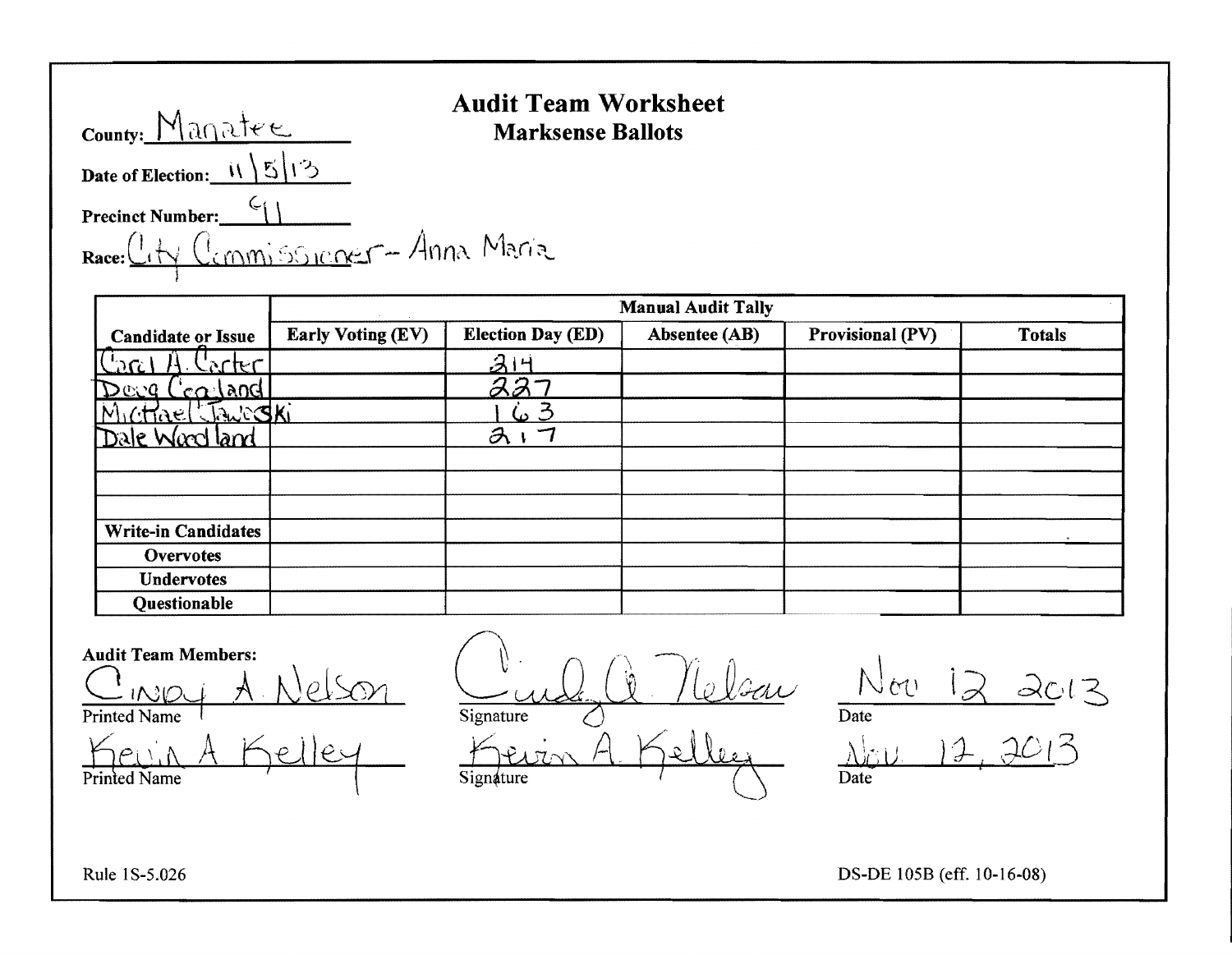| County: Manatee                      | AUUIL I C<br><b>Marks</b> |
|--------------------------------------|---------------------------|
| Date of Election: $1/\sqrt{5}/3$     |                           |
| Precinct Number: (                   |                           |
| Race: City Commissioner - Anna Maria |                           |

#### Audit Team Worksheet Marksense Ballots

**Candidate or Issue** Manual Audit Tally Early Voting (EV) Election Day (ED) Absentee (AB) Provisional (PV) Totals  $\frac{C_{\alpha\alpha}+A_{\alpha}C_{\alpha\alpha}+C_{\alpha}C_{\alpha}}{A_{\alpha}+A_{\alpha}C_{\alpha}+A_{\alpha}C_{\alpha}}$ I!) <!;;..*.'Q* C (}'.,1 i\OG B.~7  $\frac{23}{100}$   $\frac{163}{317}$ rale Word land Write-in Candidates **Overvotes Undervotes Questionable** 

Audit Team Members:

Kevin A Kelley Kevin A Kelley Nov 12, 2013 Printed Name  $\left\{ \begin{array}{c} \searrow \end{array} \right.$  Signature  $\left\{ \begin{array}{c} \searrow \end{array} \right.$ 

Audit Team Members:<br>C  $\bigcap_{\text{IVLO} \downarrow \text{}} \bigwedge_{\text{Al} \downarrow \text{Cl} \leq \text{O}} \bigcap_{\text{Signature}} \bigcap_{\text{O}} \bigcap_{\text{Al} \text{GL} \leq \text{O}} \bigcap_{\text{Date}} \bigcap_{\text{Date}} \bigcup_{\text{C}} \bigcap_{\text{C}} \bigcap_{\text{C}} \bigcap_{\text{C}} \bigcap_{\text{C}} \bigcap_{\text{C}} \bigcap_{\text{C}} \bigcap_{\text{C}} \bigcap_{\text{C}} \bigcap_{\text{C}} \bigcap_{\$ <u>Printed Name</u> A. Nelson Signature<sup>2</sup> Delsau Nov

i *dO* I <sup>~</sup>

Rule 1 S-5.026 DS-DE 105B (eff. 10-16-08)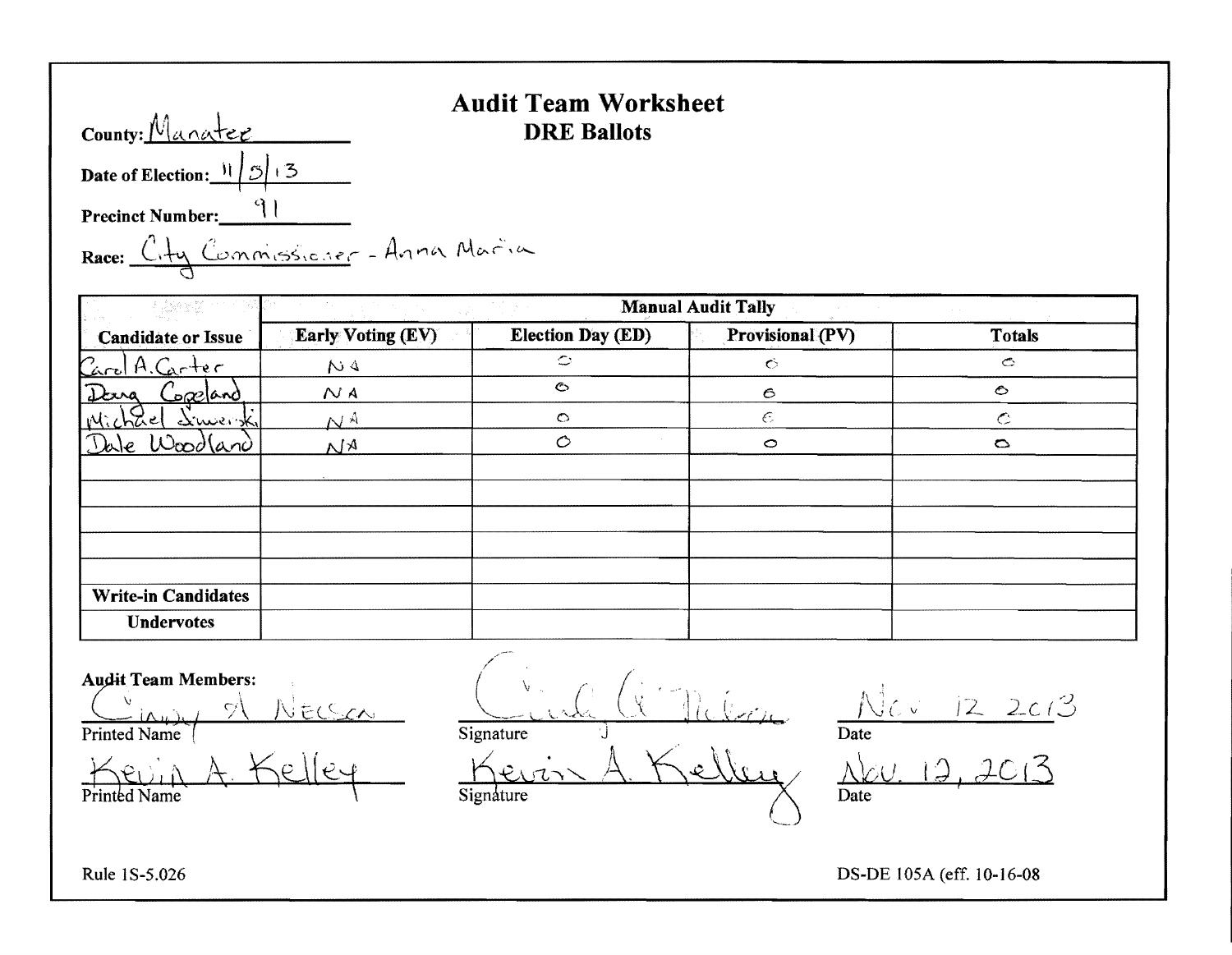#### **Audit Team Worksheet**  County: <u>Manatee</u> DRE Ballots

Date of Election:  $\frac{11}{5}$  1:3

Precinct Number: 91

# Race: City Commissioner - Anna Maria

|                            |                          |                          | <b>Manual Audit Tally</b> |                       |
|----------------------------|--------------------------|--------------------------|---------------------------|-----------------------|
| <b>Candidate or Issue</b>  | <b>Early Voting (EV)</b> | <b>Election Day (ED)</b> | Provisional (PV)          | <b>Totals</b>         |
| Carol A. Carter            | NA                       | $\circ$                  | $\ddot{\circ}$            | $\mathbf{\mathbb{C}}$ |
| Dang<br><u>sæland</u>      | N A                      | $\bullet$                | $\epsilon$                | $\circ$               |
| Mic<br>druenk<br>chael     | $N^{\rm A}$              | $\circ$                  | $\epsilon$                | $\mathbf C$           |
| Wood(and<br>Dale           | $M_A$                    | $\circ$                  | $\circ$                   | $\circ$               |
|                            |                          |                          |                           |                       |
|                            |                          |                          |                           |                       |
|                            |                          |                          |                           |                       |
|                            |                          |                          |                           |                       |
|                            |                          |                          |                           |                       |
| <b>Write-in Candidates</b> |                          |                          |                           |                       |
| <b>Undervotes</b>          |                          |                          |                           |                       |

,/ Audit Team Members: Undervotes<br>  $\frac{d}{d}$  /  $\frac{d}{d}$  /  $\frac{d}{d}$  /  $\frac{d}{d}$  /  $\frac{d}{d}$  /  $\frac{d}{d}$  /  $\frac{d}{d}$  /  $\frac{d}{d}$  /  $\frac{d}{d}$  /  $\frac{d}{d}$  /  $\frac{d}{d}$  /  $\frac{d}{d}$  /  $\frac{d}{d}$  /  $\frac{d}{d}$  /  $\frac{d}{d}$  /  $\frac{d}{d}$  /  $\frac{d}{d}$  /  $\frac{d$  $\frac{u}{v}$  in  $u$ ,  $\frac{1}{v}$  . Necessary  $\frac{u}{v}$  . Let  $\frac{v}{v}$   $\frac{1}{v}$  .  $\frac{1}{v}$  .  $\frac{1}{v}$  .  $\frac{1}{v}$  .  $\frac{1}{v}$  . 12. 2013 Printed Name  $\overline{\phantom{a}}$  Date Kevin A. Kelley Kevin A. Kelley Nev. 12, 2013  $\overline{P}$ Frinted Name  $\overline{S}$ ignature  $\overline{S}$ 

Rule 1S-5.026 DS-DE 105A (eff. 10-16-08